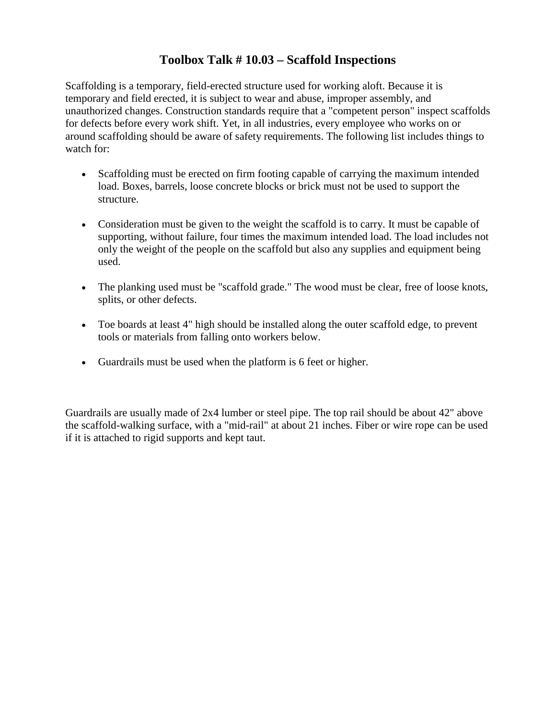## **Toolbox Talk # 10.03 – Scaffold Inspections**

Scaffolding is a temporary, field-erected structure used for working aloft. Because it is temporary and field erected, it is subject to wear and abuse, improper assembly, and unauthorized changes. Construction standards require that a "competent person" inspect scaffolds for defects before every work shift. Yet, in all industries, every employee who works on or around scaffolding should be aware of safety requirements. The following list includes things to watch for:

- Scaffolding must be erected on firm footing capable of carrying the maximum intended load. Boxes, barrels, loose concrete blocks or brick must not be used to support the structure.
- Consideration must be given to the weight the scaffold is to carry. It must be capable of supporting, without failure, four times the maximum intended load. The load includes not only the weight of the people on the scaffold but also any supplies and equipment being used.
- The planking used must be "scaffold grade." The wood must be clear, free of loose knots, splits, or other defects.
- Toe boards at least 4" high should be installed along the outer scaffold edge, to prevent tools or materials from falling onto workers below.
- Guardrails must be used when the platform is 6 feet or higher.

Guardrails are usually made of 2x4 lumber or steel pipe. The top rail should be about 42" above the scaffold-walking surface, with a "mid-rail" at about 21 inches. Fiber or wire rope can be used if it is attached to rigid supports and kept taut.